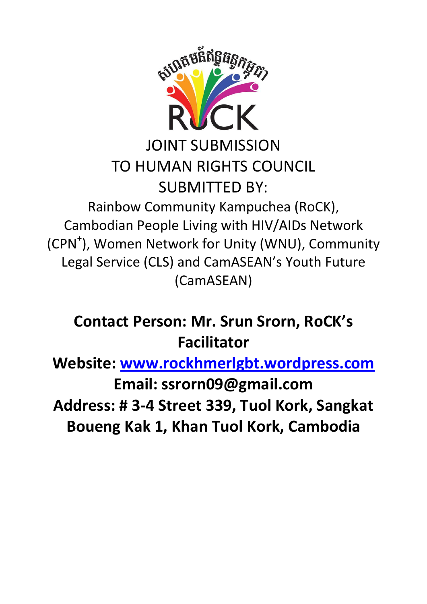

## JOINT SUBMISSION TO HUMAN RIGHTS COUNCIL SUBMITTED BY:

Rainbow Community Kampuchea (RoCK), Cambodian People Living with HIV/AIDs Network (CPN<sup>+</sup>), Women Network for Unity (WNU), Community Legal Service (CLS) and CamASEAN's Youth Future (CamASEAN)

## **Contact Person: Mr. Srun Srorn, RoCK's Facilitator**

**Website: [www.rockhmerlgbt.wordpress.com](http://www.rockhmerlgbt.wordpress.com/)**

**Email: ssrorn09@gmail.com Address: # 3-4 Street 339, Tuol Kork, Sangkat Boueng Kak 1, Khan Tuol Kork, Cambodia**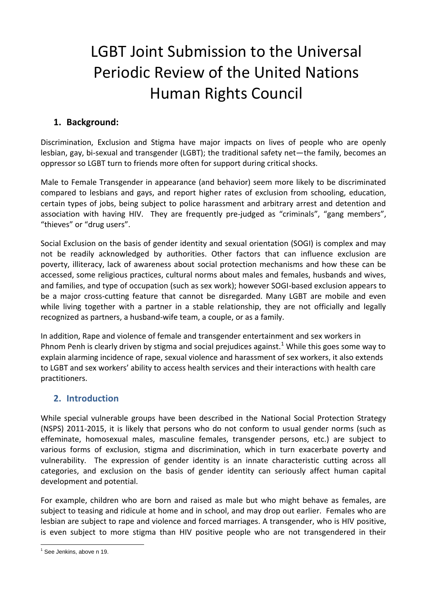# LGBT Joint Submission to the Universal Periodic Review of the United Nations Human Rights Council

### **1. Background:**

Discrimination, Exclusion and Stigma have major impacts on lives of people who are openly lesbian, gay, bi-sexual and transgender (LGBT); the traditional safety net—the family, becomes an oppressor so LGBT turn to friends more often for support during critical shocks.

Male to Female Transgender in appearance (and behavior) seem more likely to be discriminated compared to lesbians and gays, and report higher rates of exclusion from schooling, education, certain types of jobs, being subject to police harassment and arbitrary arrest and detention and association with having HIV. They are frequently pre-judged as "criminals", "gang members", "thieves" or "drug users".

Social Exclusion on the basis of gender identity and sexual orientation (SOGI) is complex and may not be readily acknowledged by authorities. Other factors that can influence exclusion are poverty, illiteracy, lack of awareness about social protection mechanisms and how these can be accessed, some religious practices, cultural norms about males and females, husbands and wives, and families, and type of occupation (such as sex work); however SOGI-based exclusion appears to be a major cross-cutting feature that cannot be disregarded. Many LGBT are mobile and even while living together with a partner in a stable relationship, they are not officially and legally recognized as partners, a husband-wife team, a couple, or as a family.

In addition, Rape and violence of female and transgender entertainment and sex workers in Phnom Penh is clearly driven by stigma and social prejudices against.<sup>1</sup> While this goes some way to explain alarming incidence of rape, sexual violence and harassment of sex workers, it also extends to LGBT and sex workers' ability to access health services and their interactions with health care practitioners.

## **2. Introduction**

While special vulnerable groups have been described in the National Social Protection Strategy (NSPS) 2011-2015, it is likely that persons who do not conform to usual gender norms (such as effeminate, homosexual males, masculine females, transgender persons, etc.) are subject to various forms of exclusion, stigma and discrimination, which in turn exacerbate poverty and vulnerability. The expression of gender identity is an innate characteristic cutting across all categories, and exclusion on the basis of gender identity can seriously affect human capital development and potential.

For example, children who are born and raised as male but who might behave as females, are subject to teasing and ridicule at home and in school, and may drop out earlier. Females who are lesbian are subject to rape and violence and forced marriages. A transgender, who is HIV positive, is even subject to more stigma than HIV positive people who are not transgendered in their

l  $<sup>1</sup>$  See Jenkins, above n 19.</sup>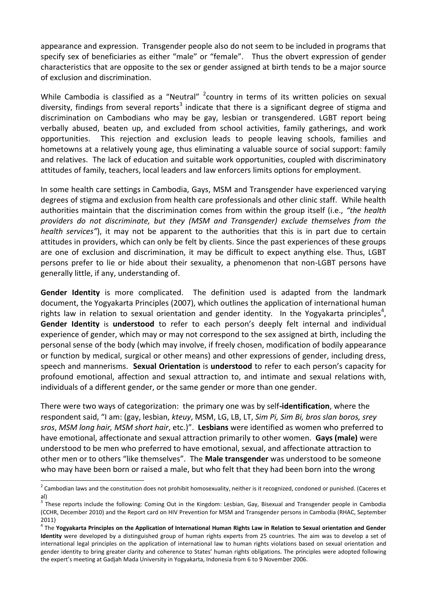appearance and expression. Transgender people also do not seem to be included in programs that specify sex of beneficiaries as either "male" or "female". Thus the obvert expression of gender characteristics that are opposite to the sex or gender assigned at birth tends to be a major source of exclusion and discrimination.

While Cambodia is classified as a "Neutral" <sup>2</sup>country in terms of its written policies on sexual diversity, findings from several reports<sup>3</sup> indicate that there is a significant degree of stigma and discrimination on Cambodians who may be gay, lesbian or transgendered. LGBT report being verbally abused, beaten up, and excluded from school activities, family gatherings, and work opportunities. This rejection and exclusion leads to people leaving schools, families and hometowns at a relatively young age, thus eliminating a valuable source of social support: family and relatives. The lack of education and suitable work opportunities, coupled with discriminatory attitudes of family, teachers, local leaders and law enforcers limits options for employment.

In some health care settings in Cambodia, Gays, MSM and Transgender have experienced varying degrees of stigma and exclusion from health care professionals and other clinic staff. While health authorities maintain that the discrimination comes from within the group itself (i.e., *"the health providers do not discriminate, but they (MSM and Transgender) exclude themselves from the health services"*), it may not be apparent to the authorities that this is in part due to certain attitudes in providers, which can only be felt by clients. Since the past experiences of these groups are one of exclusion and discrimination, it may be difficult to expect anything else. Thus, LGBT persons prefer to lie or hide about their sexuality, a phenomenon that non-LGBT persons have generally little, if any, understanding of.

**Gender Identity** is more complicated. The definition used is adapted from the landmark document, the Yogyakarta Principles (2007), which outlines the application of international human rights law in relation to sexual orientation and gender identity. In the Yogyakarta principles<sup>4</sup>, **Gender Identity** is **understood** to refer to each person's deeply felt internal and individual experience of gender, which may or may not correspond to the sex assigned at birth, including the personal sense of the body (which may involve, if freely chosen, modification of bodily appearance or function by medical, surgical or other means) and other expressions of gender, including dress, speech and mannerisms. **Sexual Orientation** is **understood** to refer to each person's capacity for profound emotional, affection and sexual attraction to, and intimate and sexual relations with, individuals of a different gender, or the same gender or more than one gender.

There were two ways of categorization: the primary one was by self**-identification**, where the respondent said, "I am: (gay, lesbian, *kteuy*, MSM, LG, LB, LT, *Sim Pi, Sim Bi, bros slan boros, srey sros*, *MSM long hair, MSM short hair*, etc.)". **Lesbians** were identified as women who preferred to have emotional, affectionate and sexual attraction primarily to other women. **Gays (male)** were understood to be men who preferred to have emotional, sexual, and affectionate attraction to other men or to others "like themselves". The **Male transgender** was understood to be someone who may have been born or raised a male, but who felt that they had been born into the wrong

 2 Cambodian laws and the constitution does not prohibit homosexuality, neither is it recognized, condoned or punished. (Caceres et al)

<sup>&</sup>lt;sup>3</sup> These reports include the following: Coming Out in the Kingdom: Lesbian, Gay, Bisexual and Transgender people in Cambodia (CCHR, December 2010) and the Report card on HIV Prevention for MSM and Transgender persons in Cambodia (RHAC, September 2011)

<sup>4</sup> The **Yogyakarta Principles on the Application of International Human Rights Law in Relation to Sexual orientation and Gender Identity** were developed by a distinguished group of human rights experts from 25 countries. The aim was to develop a set of international legal principles on the application of international law to human rights violations based on sexual orientation and gender identity to bring greater clarity and coherence to States' human rights obligations. The principles were adopted following the expert's meeting at Gadjah Mada University in Yogyakarta, Indonesia from 6 to 9 November 2006.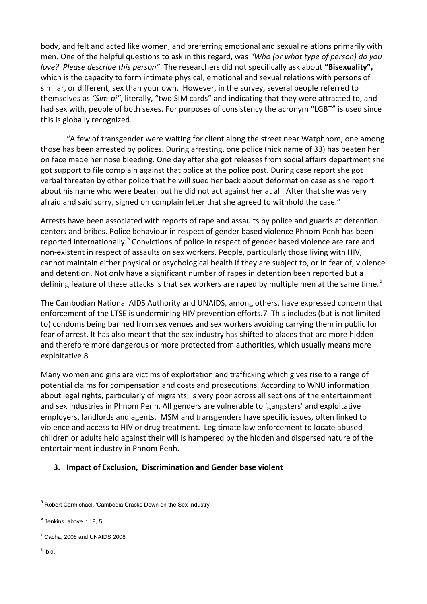body, and felt and acted like women, and preferring emotional and sexual relations primarily with men. One of the helpful questions to ask in this regard, was *"Who (or what type of person) do you love? Please describe this person"*. The researchers did not specifically ask about **"Bisexuality",**  which is the capacity to form intimate physical, emotional and sexual relations with persons of similar, or different, sex than your own. However, in the survey, several people referred to themselves as *"Sim-pi"*, literally, "two SIM cards" and indicating that they were attracted to, and had sex with, people of both sexes. For purposes of consistency the acronym "LGBT" is used since this is globally recognized.

"A few of transgender were waiting for client along the street near Watphnom, one among those has been arrested by polices. During arresting, one police (nick name of 33) has beaten her on face made her nose bleeding. One day after she got releases from social affairs department she got support to file complain against that police at the police post. During case report she got verbal threaten by other police that he will sued her back about deformation case as she report about his name who were beaten but he did not act against her at all. After that she was very afraid and said sorry, signed on complain letter that she agreed to withhold the case."

Arrests have been associated with reports of rape and assaults by police and guards at detention centers and bribes. Police behaviour in respect of gender based violence Phnom Penh has been reported internationally.<sup>5</sup> Convictions of police in respect of gender based violence are rare and non-existent in respect of assaults on sex workers. People, particularly those living with HIV, cannot maintain either physical or psychological health if they are subject to, or in fear of, violence and detention. Not only have a significant number of rapes in detention been reported but a defining feature of these attacks is that sex workers are raped by multiple men at the same time.<sup>6</sup>

The Cambodian National AIDS Authority and UNAIDS, among others, have expressed concern that enforcement of the LTSE is undermining HIV prevention efforts.7 This includes (but is not limited to) condoms being banned from sex venues and sex workers avoiding carrying them in public for fear of arrest. It has also meant that the sex industry has shifted to places that are more hidden and therefore more dangerous or more protected from authorities, which usually means more exploitative.8

Many women and girls are victims of exploitation and trafficking which gives rise to a range of potential claims for compensation and costs and prosecutions. According to WNU information about legal rights, particularly of migrants, is very poor across all sections of the entertainment and sex industries in Phnom Penh. All genders are vulnerable to 'gangsters' and exploitative employers, landlords and agents. MSM and transgenders have specific issues, often linked to violence and access to HIV or drug treatment. Legitimate law enforcement to locate abused children or adults held against their will is hampered by the hidden and dispersed nature of the entertainment industry in Phnom Penh.

#### **3. Impact of Exclusion, Discrimination and Gender base violent**

<sup>8</sup> Ibid.

 $\overline{a}$ 

<sup>&</sup>lt;sup>5</sup> Robert Carmichael, 'Cambodia Cracks Down on the Sex Industry'

 $^6$  Jenkins, above n 19, 5.

<sup>7</sup> Cacha, 2008 and UNAIDS 2008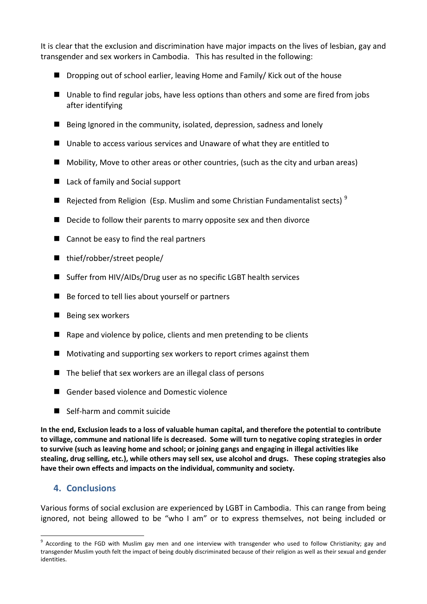It is clear that the exclusion and discrimination have major impacts on the lives of lesbian, gay and transgender and sex workers in Cambodia. This has resulted in the following:

- Dropping out of school earlier, leaving Home and Family/ Kick out of the house
- Unable to find regular jobs, have less options than others and some are fired from jobs after identifying
- Being Ignored in the community, isolated, depression, sadness and lonely
- Unable to access various services and Unaware of what they are entitled to
- **Mobility, Move to other areas or other countries, (such as the city and urban areas)**
- Lack of family and Social support
- Rejected from Religion (Esp. Muslim and some Christian Fundamentalist sects)<sup>9</sup>
- Decide to follow their parents to marry opposite sex and then divorce
- Cannot be easy to find the real partners
- $\blacksquare$  thief/robber/street people/
- Suffer from HIV/AIDs/Drug user as no specific LGBT health services
- Be forced to tell lies about yourself or partners
- Being sex workers
- Rape and violence by police, clients and men pretending to be clients
- Motivating and supporting sex workers to report crimes against them
- $\blacksquare$  The belief that sex workers are an illegal class of persons
- Gender based violence and Domestic violence
- Self-harm and commit suicide

**In the end, Exclusion leads to a loss of valuable human capital, and therefore the potential to contribute to village, commune and national life is decreased. Some will turn to negative coping strategies in order to survive (such as leaving home and school; or joining gangs and engaging in illegal activities like stealing, drug selling, etc.), while others may sell sex, use alcohol and drugs. These coping strategies also have their own effects and impacts on the individual, community and society.**

### **4. Conclusions**

Various forms of social exclusion are experienced by LGBT in Cambodia. This can range from being ignored, not being allowed to be "who I am" or to express themselves, not being included or

l <sup>9</sup> According to the FGD with Muslim gay men and one interview with transgender who used to follow Christianity; gay and transgender Muslim youth felt the impact of being doubly discriminated because of their religion as well as their sexual and gender identities.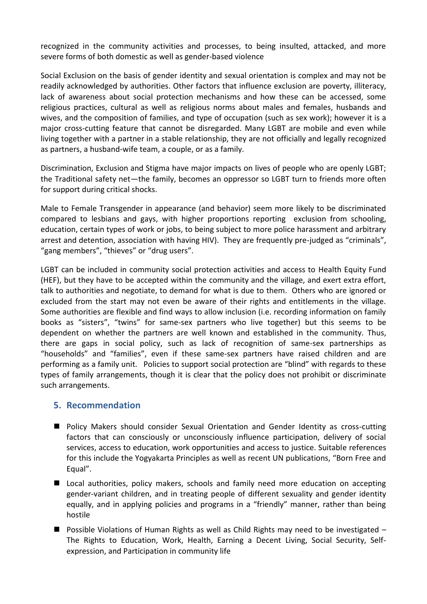recognized in the community activities and processes, to being insulted, attacked, and more severe forms of both domestic as well as gender-based violence

Social Exclusion on the basis of gender identity and sexual orientation is complex and may not be readily acknowledged by authorities. Other factors that influence exclusion are poverty, illiteracy, lack of awareness about social protection mechanisms and how these can be accessed, some religious practices, cultural as well as religious norms about males and females, husbands and wives, and the composition of families, and type of occupation (such as sex work); however it is a major cross-cutting feature that cannot be disregarded. Many LGBT are mobile and even while living together with a partner in a stable relationship, they are not officially and legally recognized as partners, a husband-wife team, a couple, or as a family.

Discrimination, Exclusion and Stigma have major impacts on lives of people who are openly LGBT; the Traditional safety net—the family, becomes an oppressor so LGBT turn to friends more often for support during critical shocks.

Male to Female Transgender in appearance (and behavior) seem more likely to be discriminated compared to lesbians and gays, with higher proportions reporting exclusion from schooling, education, certain types of work or jobs, to being subject to more police harassment and arbitrary arrest and detention, association with having HIV). They are frequently pre-judged as "criminals", "gang members", "thieves" or "drug users".

LGBT can be included in community social protection activities and access to Health Equity Fund (HEF), but they have to be accepted within the community and the village, and exert extra effort, talk to authorities and negotiate, to demand for what is due to them. Others who are ignored or excluded from the start may not even be aware of their rights and entitlements in the village. Some authorities are flexible and find ways to allow inclusion (i.e. recording information on family books as "sisters", "twins" for same-sex partners who live together) but this seems to be dependent on whether the partners are well known and established in the community. Thus, there are gaps in social policy, such as lack of recognition of same-sex partnerships as "households" and "families", even if these same-sex partners have raised children and are performing as a family unit. Policies to support social protection are "blind" with regards to these types of family arrangements, though it is clear that the policy does not prohibit or discriminate such arrangements.

#### **5. Recommendation**

- Policy Makers should consider Sexual Orientation and Gender Identity as cross-cutting factors that can consciously or unconsciously influence participation, delivery of social services, access to education, work opportunities and access to justice. Suitable references for this include the Yogyakarta Principles as well as recent UN publications, "Born Free and Equal".
- Local authorities, policy makers, schools and family need more education on accepting gender-variant children, and in treating people of different sexuality and gender identity equally, and in applying policies and programs in a "friendly" manner, rather than being hostile
- Possible Violations of Human Rights as well as Child Rights may need to be investigated The Rights to Education, Work, Health, Earning a Decent Living, Social Security, Selfexpression, and Participation in community life